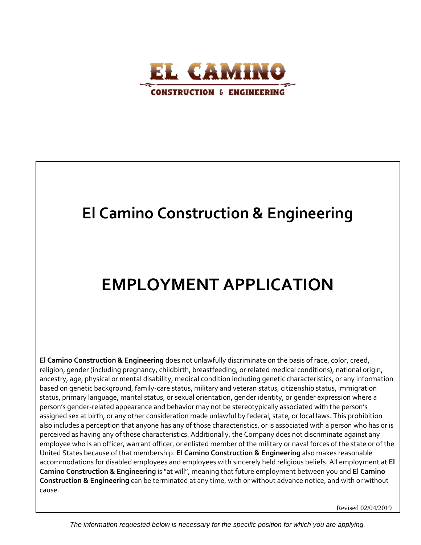

## **El Camino Construction & Engineering**

# **EMPLOYMENT APPLICATION**

**El Camino Construction & Engineering** does not unlawfully discriminate on the basis of race, color, creed, religion, gender (including pregnancy, childbirth, breastfeeding, or related medical conditions), national origin, ancestry, age, physical or mental disability, medical condition including genetic characteristics, or any information based on genetic background, family-care status, military and veteran status, citizenship status, immigration status, primary language, marital status, or sexual orientation, gender identity, or gender expression where a person's gender-related appearance and behavior may not be stereotypically associated with the person's assigned sex at birth, or any other consideration made unlawful by federal, state, or local laws. This prohibition also includes a perception that anyone has any of those characteristics, or is associated with a person who has or is perceived as having any of those characteristics. Additionally, the Company does not discriminate against any employee who is an officer, warrant officer, or enlisted member of the military or naval forces of the state or of the United States because of that membership. **El Camino Construction & Engineering** also makes reasonable accommodations for disabled employees and employees with sincerely held religious beliefs. All employment at **El Camino Construction & Engineering** is "at will", meaning that future employment between you and **El Camino Construction & Engineering** can be terminated at any time, with or without advance notice, and with or without cause.

Revised 02/04/2019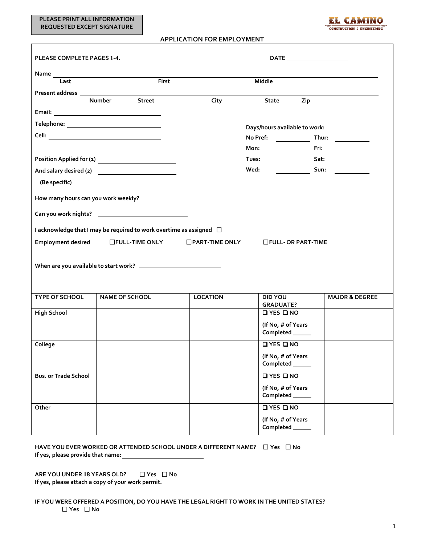**PLEASE PRINT ALL INFORMATION REQUESTED EXCEPT SIGNATURE**

 $\overline{\Gamma}$ 



## **APPLICATION FOR EMPLOYMENT**

| PLEASE COMPLETE PAGES 1-4.                                               |                       |                          |                               |                                       |                           |                                                                                                                        |
|--------------------------------------------------------------------------|-----------------------|--------------------------|-------------------------------|---------------------------------------|---------------------------|------------------------------------------------------------------------------------------------------------------------|
|                                                                          |                       |                          |                               |                                       |                           |                                                                                                                        |
| Last                                                                     |                       | First                    |                               | <b>Middle</b>                         |                           |                                                                                                                        |
|                                                                          |                       |                          |                               |                                       |                           |                                                                                                                        |
|                                                                          | <b>Number</b>         | <b>Street</b>            | City                          | <b>State</b>                          | Zip                       |                                                                                                                        |
|                                                                          |                       |                          |                               |                                       |                           |                                                                                                                        |
| Telephone: _________________________________                             |                       |                          | Days/hours available to work: |                                       |                           |                                                                                                                        |
|                                                                          |                       |                          |                               | No Pref:                              | Thur:                     | $\overline{\phantom{a}}$ and $\overline{\phantom{a}}$ and $\overline{\phantom{a}}$                                     |
|                                                                          |                       |                          |                               | Mon:                                  | Fri:                      | <u> a shekara ta 1999 a shekara ta 1991 a shekara ta 1991 a shekara ta 1991 a shekara ta 1991 a shekara ta 1991 a </u> |
|                                                                          |                       |                          |                               | Tues:                                 | $\frac{1}{\sqrt{2}}$ Sat: | $\mathcal{L}=\{1,2,3,4,5\}$ .                                                                                          |
|                                                                          |                       |                          |                               | Wed:                                  | $\frac{1}{\sqrt{2}}$ Sun: |                                                                                                                        |
| (Be specific)                                                            |                       |                          |                               |                                       |                           |                                                                                                                        |
| How many hours can you work weekly? ________________                     |                       |                          |                               |                                       |                           |                                                                                                                        |
|                                                                          |                       |                          |                               |                                       |                           |                                                                                                                        |
| I acknowledge that I may be required to work overtime as assigned $\Box$ |                       |                          |                               |                                       |                           |                                                                                                                        |
| <b>Employment desired</b>                                                |                       | $\square$ FULL-TIME ONLY | $\Box$ PART-TIME ONLY         | □FULL- OR PART-TIME                   |                           |                                                                                                                        |
|                                                                          |                       |                          |                               |                                       |                           |                                                                                                                        |
| <b>TYPE OF SCHOOL</b>                                                    | <b>NAME OF SCHOOL</b> |                          | <b>LOCATION</b>               | <b>DID YOU</b><br><b>GRADUATE?</b>    |                           | <b>MAJOR &amp; DEGREE</b>                                                                                              |
| <b>High School</b>                                                       |                       |                          |                               | QYESQNO                               |                           |                                                                                                                        |
|                                                                          |                       |                          |                               | (If No, # of Years<br>Completed _____ |                           |                                                                                                                        |
| College                                                                  |                       |                          |                               | QYESQNO                               |                           |                                                                                                                        |
|                                                                          |                       |                          |                               | (If No, # of Years<br>Completed _____ |                           |                                                                                                                        |
| <b>Bus. or Trade School</b>                                              |                       |                          |                               | QYESQNO                               |                           |                                                                                                                        |
|                                                                          |                       |                          |                               | (If No, # of Years<br>Completed _____ |                           |                                                                                                                        |
| Other                                                                    |                       |                          |                               | QYESQNO                               |                           |                                                                                                                        |
|                                                                          |                       |                          |                               | (If No, # of Years<br>Completed _____ |                           |                                                                                                                        |

| HAVE YOU EVER WORKED OR ATTENDED SCHOOL UNDER A DIFFERENT NAME? $\square$ Yes $\square$ No |  |
|--------------------------------------------------------------------------------------------|--|
| If yes, please provide that name:                                                          |  |

**ARE YOU UNDER 18 YEARS OLD?** ☐ **Yes** ☐ **No If yes, please attach a copy of your work permit.**

**IF YOU WERE OFFERED A POSITION, DO YOU HAVE THE LEGAL RIGHT TO WORK IN THE UNITED STATES?** ☐ **Yes** ☐ **No**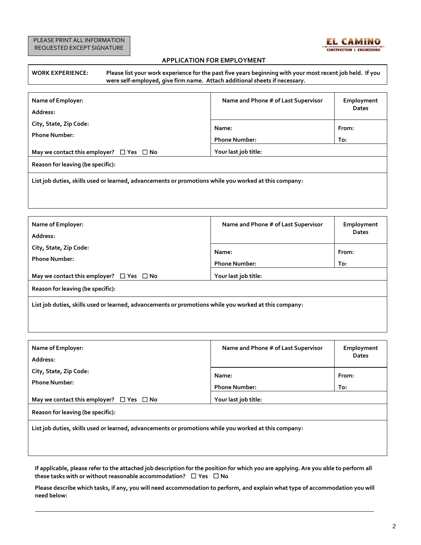

## **APPLICATION FOR EMPLOYMENT**

| <b>WORK EXPERIENCE:</b> | Please list your work experience for the past five years beginning with your most recent job held. If you |
|-------------------------|-----------------------------------------------------------------------------------------------------------|
|                         | were self-employed, give firm name. Attach additional sheets if necessary.                                |

| Name of Employer:<br>Address:                                                                         | Name and Phone # of Last Supervisor | Employment<br><b>Dates</b> |  |  |
|-------------------------------------------------------------------------------------------------------|-------------------------------------|----------------------------|--|--|
| City, State, Zip Code:                                                                                | Name:                               | From:                      |  |  |
| <b>Phone Number:</b>                                                                                  | <b>Phone Number:</b>                | To:                        |  |  |
| May we contact this employer? $\Box$ Yes $\Box$ No                                                    | Your last job title:                |                            |  |  |
| Reason for leaving (be specific):                                                                     |                                     |                            |  |  |
| List job duties, skills used or learned, advancements or promotions while you worked at this company: |                                     |                            |  |  |

| Name of Employer:<br>Address:                                                                         | Name and Phone # of Last Supervisor | Employment<br><b>Dates</b> |  |  |
|-------------------------------------------------------------------------------------------------------|-------------------------------------|----------------------------|--|--|
| City, State, Zip Code:                                                                                | Name:                               | From:                      |  |  |
| <b>Phone Number:</b>                                                                                  | <b>Phone Number:</b>                | To:                        |  |  |
| May we contact this employer? $\Box$ Yes $\Box$ No                                                    | Your last job title:                |                            |  |  |
| Reason for leaving (be specific):                                                                     |                                     |                            |  |  |
| List job duties, skills used or learned, advancements or promotions while you worked at this company: |                                     |                            |  |  |

| Name of Employer:<br>Address:                                                                         | Name and Phone # of Last Supervisor | Employment<br><b>Dates</b> |  |  |
|-------------------------------------------------------------------------------------------------------|-------------------------------------|----------------------------|--|--|
| City, State, Zip Code:                                                                                | Name:                               | From:                      |  |  |
| <b>Phone Number:</b>                                                                                  | <b>Phone Number:</b>                | To:                        |  |  |
| May we contact this employer? $\Box$ Yes $\Box$ No                                                    | Your last job title:                |                            |  |  |
| Reason for leaving (be specific):                                                                     |                                     |                            |  |  |
| List job duties, skills used or learned, advancements or promotions while you worked at this company: |                                     |                            |  |  |

**If applicable, please refer to the attached job description for the position for which you are applying. Are you able to perform all these tasks with or without reasonable accommodation?** ☐ **Yes** ☐ **No**

**Please describe which tasks, if any, you will need accommodation to perform, and explain what type of accommodation you will need below:**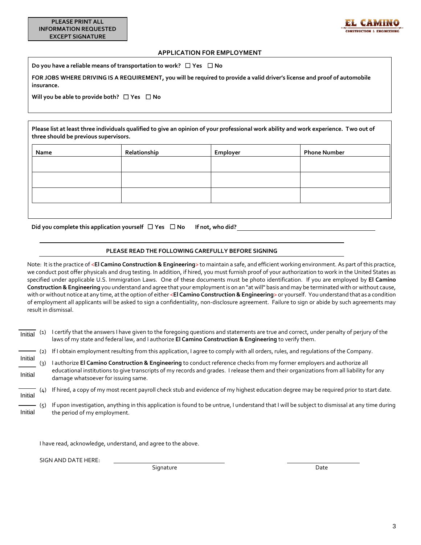

## **APPLICATION FOR EMPLOYMENT**

**Do you have a reliable means of transportation to work?** ☐ **Yes** ☐ **No**

**FOR JOBS WHERE DRIVING IS A REQUIREMENT, you will be required to provide a valid driver's license and proof of automobile insurance.**

**Will you be able to provide both?** ☐ **Yes** ☐ **No**

**Please list at least three individuals qualified to give an opinion of your professional work ability and work experience. Two out of three should be previous supervisors.**

| Name | Relationship | Employer | <b>Phone Number</b> |
|------|--------------|----------|---------------------|
|      |              |          |                     |
|      |              |          |                     |
|      |              |          |                     |
|      |              |          |                     |
|      |              |          |                     |

**Did you complete this application yourself** ☐ **Yes** ☐ **No If not, who did?** 

## **PLEASE READ THE FOLLOWING CAREFULLY BEFORE SIGNING**

Note: It is the practice of <**El Camino Construction & Engineering**> to maintain a safe, and efficient working environment. As part of this practice, we conduct post offer physicals and drug testing. In addition, if hired, you must furnish proof of your authorization to work in the United States as specified under applicable U.S. Immigration Laws. One of these documents must be photo identification. If you are employed by **El Camino Construction & Engineering** you understand and agree that your employment is on an "at will" basis and may be terminated with or without cause, with or without notice at any time, at the option of either <**El Camino Construction & Engineering**> or yourself. You understand that as a condition of employment all applicants will be asked to sign a confidentiality, non-disclosure agreement. Failure to sign or abide by such agreements may result in dismissal.

- (1) I certify that the answers I have given to the foregoing questions and statements are true and correct, under penalty of perjury of the laws of my state and federal law, and I authorize **El Camino Construction & Engineering** to verify them. Initial
- (2) If I obtain employment resulting from this application, I agree to comply with all orders, rules, and regulations of the Company.
- (3) I authorize **El Camino Construction & Engineering** to conduct reference checks from my former employers and authorize all educational institutions to give transcripts of my records and grades. I release them and their organizations from all liability for any damage whatsoever for issuing same. Initial Initial
- (4) If hired, a copy of my most recent payroll check stub and evidence of my highest education degree may be required prior to start date. Initial
- (5) If upon investigation, anything in this application is found to be untrue, I understand that I will be subject to dismissal at any time during the period of my employment. Initial

I have read, acknowledge, understand, and agree to the above.

SIGN AND DATE HERE:

Signature Date